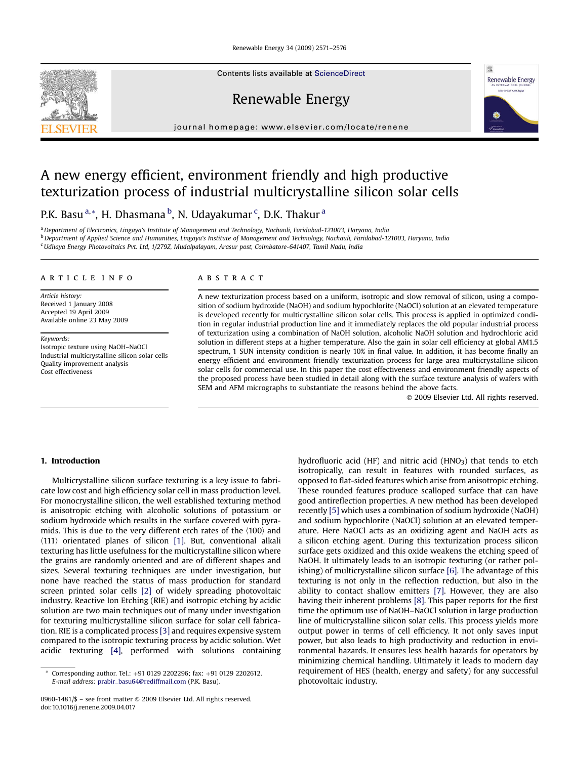Renewable Energy 34 (2009) 2571–2576

Contents lists available at [ScienceDirect](www.sciencedirect.com/science/journal/09601481)

Renewable Energy





## A new energy efficient, environment friendly and high productive texturization process of industrial multicrystalline silicon solar cells

P.K. Basu <sup>a,</sup>\*, H. Dhasmana <sup>b</sup>, N. Udayakumar <sup>c</sup>, D.K. Thakur <sup>a</sup>

<sup>a</sup> Department of Electronics, Lingaya's Institute of Management and Technology, Nachauli, Faridabad-121003, Haryana, India  $b$  Department of Applied Science and Humanities, Lingaya's Institute of Management and Technology, Nachauli, Faridabad-121003, Haryana, India <sup>c</sup>Udhaya Energy Photovoltaics Pvt. Ltd, 1/279Z, Mudalpalayam, Arasur post, Coimbatore-641407, Tamil Nadu, India

#### article info

Article history: Received 1 January 2008 Accepted 19 April 2009 Available online 23 May 2009

Keywords: Isotropic texture using NaOH–NaOCl Industrial multicrystalline silicon solar cells Quality improvement analysis Cost effectiveness

#### **ABSTRACT**

A new texturization process based on a uniform, isotropic and slow removal of silicon, using a composition of sodium hydroxide (NaOH) and sodium hypochlorite (NaOCl) solution at an elevated temperature is developed recently for multicrystalline silicon solar cells. This process is applied in optimized condition in regular industrial production line and it immediately replaces the old popular industrial process of texturization using a combination of NaOH solution, alcoholic NaOH solution and hydrochloric acid solution in different steps at a higher temperature. Also the gain in solar cell efficiency at global AM1.5 spectrum, 1 SUN intensity condition is nearly 10% in final value. In addition, it has become finally an energy efficient and environment friendly texturization process for large area multicrystalline silicon solar cells for commercial use. In this paper the cost effectiveness and environment friendly aspects of the proposed process have been studied in detail along with the surface texture analysis of wafers with SEM and AFM micrographs to substantiate the reasons behind the above facts.

- 2009 Elsevier Ltd. All rights reserved.

#### 1. Introduction

Multicrystalline silicon surface texturing is a key issue to fabricate low cost and high efficiency solar cell in mass production level. For monocrystalline silicon, the well established texturing method is anisotropic etching with alcoholic solutions of potassium or sodium hydroxide which results in the surface covered with pyramids. This is due to the very different etch rates of the  $\langle 100 \rangle$  and  $\langle 111 \rangle$  orientated planes of silicon [\[1\]](#page--1-0). But, conventional alkali texturing has little usefulness for the multicrystalline silicon where the grains are randomly oriented and are of different shapes and sizes. Several texturing techniques are under investigation, but none have reached the status of mass production for standard screen printed solar cells [\[2\]](#page--1-0) of widely spreading photovoltaic industry. Reactive Ion Etching (RIE) and isotropic etching by acidic solution are two main techniques out of many under investigation for texturing multicrystalline silicon surface for solar cell fabrication. RIE is a complicated process [\[3\]](#page--1-0) and requires expensive system compared to the isotropic texturing process by acidic solution. Wet acidic texturing [\[4\]](#page--1-0), performed with solutions containing hydrofluoric acid (HF) and nitric acid (HNO $_3$ ) that tends to etch isotropically, can result in features with rounded surfaces, as opposed to flat-sided features which arise from anisotropic etching. These rounded features produce scalloped surface that can have good antireflection properties. A new method has been developed recently [\[5\]](#page--1-0) which uses a combination of sodium hydroxide (NaOH) and sodium hypochlorite (NaOCl) solution at an elevated temperature. Here NaOCl acts as an oxidizing agent and NaOH acts as a silicon etching agent. During this texturization process silicon surface gets oxidized and this oxide weakens the etching speed of NaOH. It ultimately leads to an isotropic texturing (or rather polishing) of multicrystalline silicon surface [\[6\].](#page--1-0) The advantage of this texturing is not only in the reflection reduction, but also in the ability to contact shallow emitters [\[7\]](#page--1-0). However, they are also having their inherent problems [\[8\]](#page--1-0). This paper reports for the first time the optimum use of NaOH–NaOCl solution in large production line of multicrystalline silicon solar cells. This process yields more output power in terms of cell efficiency. It not only saves input power, but also leads to high productivity and reduction in environmental hazards. It ensures less health hazards for operators by minimizing chemical handling. Ultimately it leads to modern day requirement of HES (health, energy and safety) for any successful photovoltaic industry.

Corresponding author. Tel.: +91 0129 2202296; fax: +91 0129 2202612. E-mail address: [prabir\\_basu64@rediffmail.com](mailto:prabir_basu64@rediffmail.com) (P.K. Basu).

<sup>0960-1481/\$ –</sup> see front matter © 2009 Elsevier Ltd. All rights reserved. doi:10.1016/j.renene.2009.04.017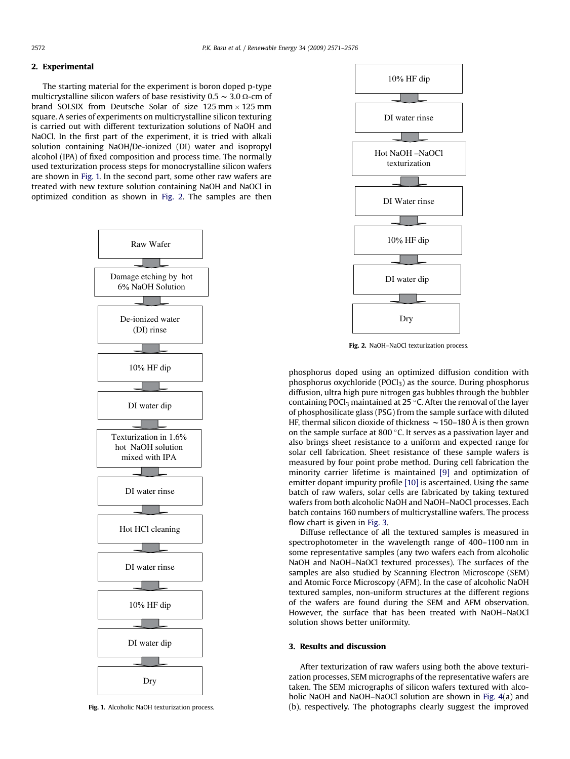#### 2. Experimental

The starting material for the experiment is boron doped p-type multicrystalline silicon wafers of base resistivity  $0.5 \sim 3.0 \Omega$ -cm of brand SOLSIX from Deutsche Solar of size 125 mm $\times$ 125 mm square. A series of experiments on multicrystalline silicon texturing is carried out with different texturization solutions of NaOH and NaOCl. In the first part of the experiment, it is tried with alkali solution containing NaOH/De-ionized (DI) water and isopropyl alcohol (IPA) of fixed composition and process time. The normally used texturization process steps for monocrystalline silicon wafers are shown in Fig. 1. In the second part, some other raw wafers are treated with new texture solution containing NaOH and NaOCl in optimized condition as shown in Fig. 2. The samples are then



Fig. 1. Alcoholic NaOH texturization process.



Fig. 2. NaOH–NaOCl texturization process.

phosphorus doped using an optimized diffusion condition with phosphorus oxychloride (POCl<sub>3</sub>) as the source. During phosphorus diffusion, ultra high pure nitrogen gas bubbles through the bubbler containing POCl<sub>3</sub> maintained at 25 °C. After the removal of the layer of phosphosilicate glass (PSG) from the sample surface with diluted HF, thermal silicon dioxide of thickness  $\sim$  150–180 Å is then grown on the sample surface at 800 $^{\circ}$ C. It serves as a passivation layer and also brings sheet resistance to a uniform and expected range for solar cell fabrication. Sheet resistance of these sample wafers is measured by four point probe method. During cell fabrication the minority carrier lifetime is maintained [\[9\]](#page--1-0) and optimization of emitter dopant impurity profile [\[10\]](#page--1-0) is ascertained. Using the same batch of raw wafers, solar cells are fabricated by taking textured wafers from both alcoholic NaOH and NaOH–NaOCl processes. Each batch contains 160 numbers of multicrystalline wafers. The process flow chart is given in [Fig. 3](#page--1-0).

Diffuse reflectance of all the textured samples is measured in spectrophotometer in the wavelength range of 400–1100 nm in some representative samples (any two wafers each from alcoholic NaOH and NaOH–NaOCl textured processes). The surfaces of the samples are also studied by Scanning Electron Microscope (SEM) and Atomic Force Microscopy (AFM). In the case of alcoholic NaOH textured samples, non-uniform structures at the different regions of the wafers are found during the SEM and AFM observation. However, the surface that has been treated with NaOH–NaOCl solution shows better uniformity.

### 3. Results and discussion

After texturization of raw wafers using both the above texturization processes, SEM micrographs of the representative wafers are taken. The SEM micrographs of silicon wafers textured with alcoholic NaOH and NaOH–NaOCl solution are shown in [Fig. 4\(](#page--1-0)a) and (b), respectively. The photographs clearly suggest the improved